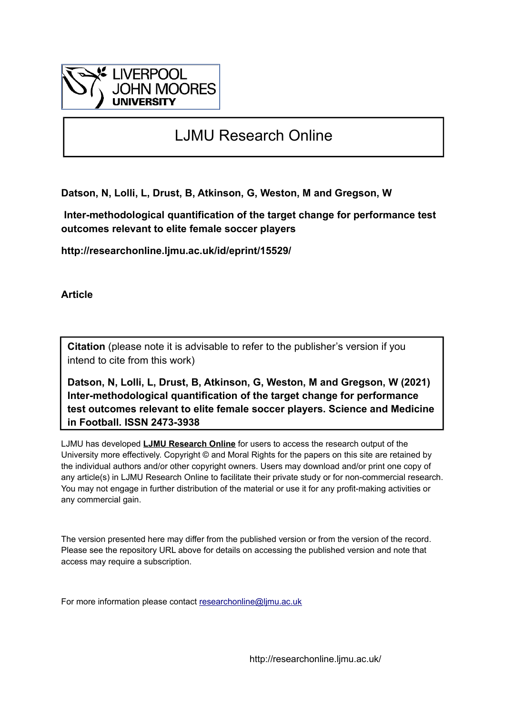

# LJMU Research Online

**Datson, N, Lolli, L, Drust, B, Atkinson, G, Weston, M and Gregson, W**

 **Inter-methodological quantification of the target change for performance test outcomes relevant to elite female soccer players**

**http://researchonline.ljmu.ac.uk/id/eprint/15529/**

**Article**

**Citation** (please note it is advisable to refer to the publisher's version if you intend to cite from this work)

**Datson, N, Lolli, L, Drust, B, Atkinson, G, Weston, M and Gregson, W (2021) Inter-methodological quantification of the target change for performance test outcomes relevant to elite female soccer players. Science and Medicine in Football. ISSN 2473-3938** 

LJMU has developed **[LJMU Research Online](http://researchonline.ljmu.ac.uk/)** for users to access the research output of the University more effectively. Copyright © and Moral Rights for the papers on this site are retained by the individual authors and/or other copyright owners. Users may download and/or print one copy of any article(s) in LJMU Research Online to facilitate their private study or for non-commercial research. You may not engage in further distribution of the material or use it for any profit-making activities or any commercial gain.

The version presented here may differ from the published version or from the version of the record. Please see the repository URL above for details on accessing the published version and note that access may require a subscription.

For more information please contact [researchonline@ljmu.ac.uk](mailto:researchonline@ljmu.ac.uk)

http://researchonline.ljmu.ac.uk/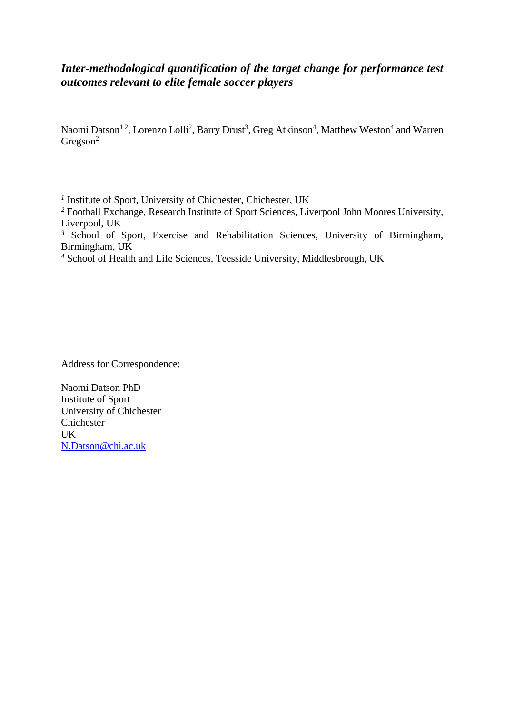# *Inter-methodological quantification of the target change for performance test outcomes relevant to elite female soccer players*

Naomi Datson<sup>12</sup>, Lorenzo Lolli<sup>2</sup>, Barry Drust<sup>3</sup>, Greg Atkinson<sup>4</sup>, Matthew Weston<sup>4</sup> and Warren  $Gregson<sup>2</sup>$ 

*1* Institute of Sport, University of Chichester, Chichester, UK

*<sup>2</sup>* Football Exchange, Research Institute of Sport Sciences, Liverpool John Moores University, Liverpool, UK

<sup>3</sup> School of Sport, Exercise and Rehabilitation Sciences, University of Birmingham, Birmingham, UK

*<sup>4</sup>* School of Health and Life Sciences, Teesside University, Middlesbrough, UK

Address for Correspondence:

Naomi Datson PhD Institute of Sport University of Chichester Chichester UK [N.Datson@chi.ac.uk](mailto:N.Datson@chi.ac.uk)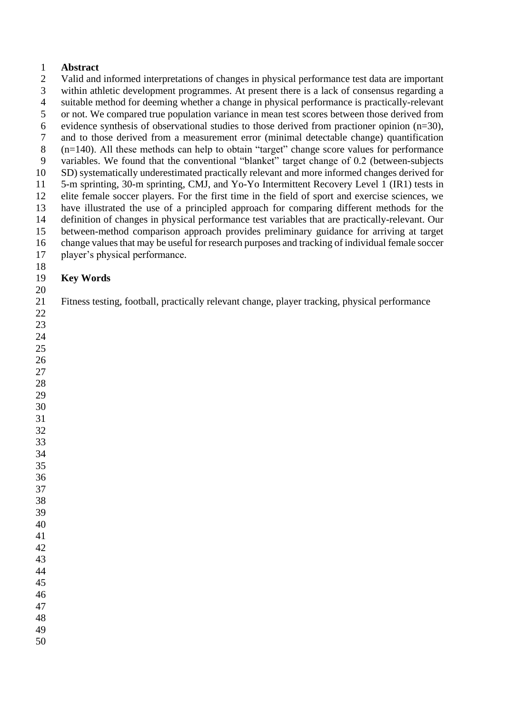## **Abstract**

 Valid and informed interpretations of changes in physical performance test data are important within athletic development programmes. At present there is a lack of consensus regarding a suitable method for deeming whether a change in physical performance is practically-relevant or not. We compared true population variance in mean test scores between those derived from 6 evidence synthesis of observational studies to those derived from practioner opinion  $(n=30)$ , and to those derived from a measurement error (minimal detectable change) quantification (n=140). All these methods can help to obtain "target" change score values for performance variables. We found that the conventional "blanket" target change of 0.2 (between-subjects SD) systematically underestimated practically relevant and more informed changes derived for 5-m sprinting, 30-m sprinting, CMJ, and Yo-Yo Intermittent Recovery Level 1 (IR1) tests in elite female soccer players. For the first time in the field of sport and exercise sciences, we have illustrated the use of a principled approach for comparing different methods for the definition of changes in physical performance test variables that are practically-relevant. Our between-method comparison approach provides preliminary guidance for arriving at target change values that may be useful for research purposes and tracking of individual female soccer player's physical performance. 

# **Key Words**

Fitness testing, football, practically relevant change, player tracking, physical performance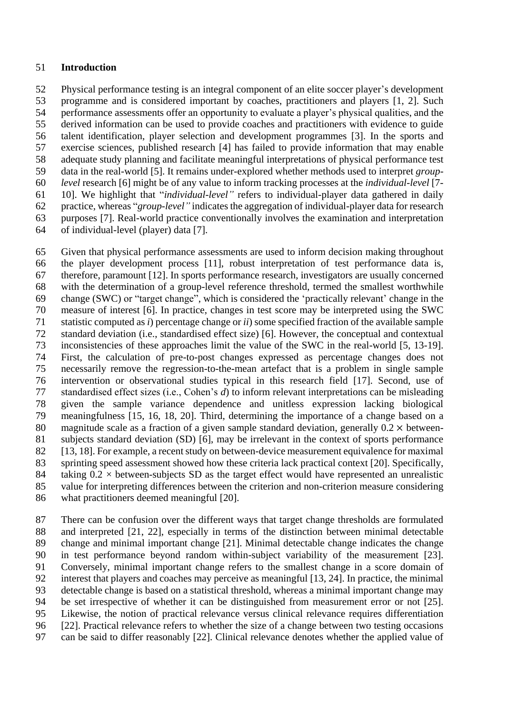#### **Introduction**

 Physical performance testing is an integral component of an elite soccer player's development programme and is considered important by coaches, practitioners and players [1, 2]. Such performance assessments offer an opportunity to evaluate a player's physical qualities, and the derived information can be used to provide coaches and practitioners with evidence to guide talent identification, player selection and development programmes [3]. In the sports and exercise sciences, published research [4] has failed to provide information that may enable adequate study planning and facilitate meaningful interpretations of physical performance test data in the real-world [5]. It remains under-explored whether methods used to interpret *group- level* research [6] might be of any value to inform tracking processes at the *individual-level* [7- 10]. We highlight that "*individual-level"* refers to individual-player data gathered in daily practice, whereas "*group-level"* indicates the aggregation of individual-player data for research purposes [7]. Real-world practice conventionally involves the examination and interpretation

of individual-level (player) data [7].

 Given that physical performance assessments are used to inform decision making throughout the player development process [11], robust interpretation of test performance data is, therefore, paramount [12]. In sports performance research, investigators are usually concerned with the determination of a group-level reference threshold, termed the smallest worthwhile change (SWC) or "target change", which is considered the 'practically relevant' change in the measure of interest [6]. In practice, changes in test score may be interpreted using the SWC statistic computed as *i*) percentage change or *ii*) some specified fraction of the available sample standard deviation (i.e., standardised effect size) [6]. However, the conceptual and contextual inconsistencies of these approaches limit the value of the SWC in the real-world [5, 13-19]. First, the calculation of pre-to-post changes expressed as percentage changes does not necessarily remove the regression-to-the-mean artefact that is a problem in single sample intervention or observational studies typical in this research field [17]. Second, use of standardised effect sizes (i.e., Cohen's *d*) to inform relevant interpretations can be misleading given the sample variance dependence and unitless expression lacking biological meaningfulness [15, 16, 18, 20]. Third, determining the importance of a change based on a 80 magnitude scale as a fraction of a given sample standard deviation, generally  $0.2 \times$  between- subjects standard deviation (SD) [6], may be irrelevant in the context of sports performance 82 [13, 18]. For example, a recent study on between-device measurement equivalence for maximal sprinting speed assessment showed how these criteria lack practical context [20]. Specifically, 84 taking  $0.2 \times$  between-subjects SD as the target effect would have represented an unrealistic value for interpreting differences between the criterion and non-criterion measure considering what practitioners deemed meaningful [20].

 There can be confusion over the different ways that target change thresholds are formulated and interpreted [21, 22], especially in terms of the distinction between minimal detectable change and minimal important change [21]. Minimal detectable change indicates the change in test performance beyond random within-subject variability of the measurement [23]. Conversely, minimal important change refers to the smallest change in a score domain of interest that players and coaches may perceive as meaningful [13, 24]. In practice, the minimal detectable change is based on a statistical threshold, whereas a minimal important change may be set irrespective of whether it can be distinguished from measurement error or not [25]. Likewise, the notion of practical relevance versus clinical relevance requires differentiation [22]. Practical relevance refers to whether the size of a change between two testing occasions can be said to differ reasonably [22]. Clinical relevance denotes whether the applied value of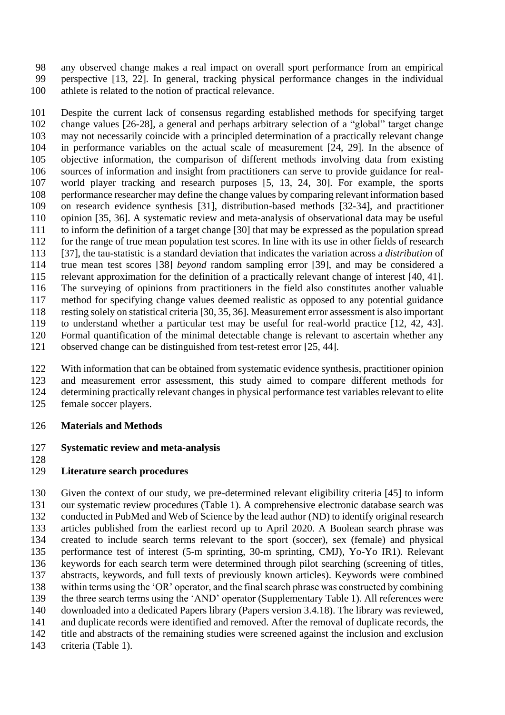any observed change makes a real impact on overall sport performance from an empirical perspective [13, 22]. In general, tracking physical performance changes in the individual athlete is related to the notion of practical relevance.

 Despite the current lack of consensus regarding established methods for specifying target change values [26-28], a general and perhaps arbitrary selection of a "global" target change may not necessarily coincide with a principled determination of a practically relevant change in performance variables on the actual scale of measurement [24, 29]. In the absence of objective information, the comparison of different methods involving data from existing sources of information and insight from practitioners can serve to provide guidance for real- world player tracking and research purposes [5, 13, 24, 30]. For example, the sports performance researcher may define the change values by comparing relevant information based on research evidence synthesis [31], distribution-based methods [32-34], and practitioner opinion [35, 36]. A systematic review and meta-analysis of observational data may be useful to inform the definition of a target change [30] that may be expressed as the population spread for the range of true mean population test scores. In line with its use in other fields of research [37], the tau-statistic is a standard deviation that indicates the variation across a *distribution* of true mean test scores [38] *beyond* random sampling error [39], and may be considered a relevant approximation for the definition of a practically relevant change of interest [40, 41]. The surveying of opinions from practitioners in the field also constitutes another valuable method for specifying change values deemed realistic as opposed to any potential guidance resting solely on statistical criteria [30, 35, 36]. Measurement error assessment is also important to understand whether a particular test may be useful for real-world practice [12, 42, 43]. Formal quantification of the minimal detectable change is relevant to ascertain whether any observed change can be distinguished from test-retest error [25, 44].

 With information that can be obtained from systematic evidence synthesis, practitioner opinion and measurement error assessment, this study aimed to compare different methods for determining practically relevant changes in physical performance test variables relevant to elite female soccer players.

# **Materials and Methods**

## **Systematic review and meta-analysis**

# **Literature search procedures**

 Given the context of our study, we pre-determined relevant eligibility criteria [45] to inform our systematic review procedures (Table 1). A comprehensive electronic database search was conducted in PubMed and Web of Science by the lead author (ND) to identify original research articles published from the earliest record up to April 2020. A Boolean search phrase was created to include search terms relevant to the sport (soccer), sex (female) and physical performance test of interest (5-m sprinting, 30-m sprinting, CMJ), Yo-Yo IR1). Relevant keywords for each search term were determined through pilot searching (screening of titles, abstracts, keywords, and full texts of previously known articles). Keywords were combined within terms using the 'OR' operator, and the final search phrase was constructed by combining the three search terms using the 'AND' operator (Supplementary Table 1). All references were downloaded into a dedicated Papers library (Papers version 3.4.18). The library was reviewed, and duplicate records were identified and removed. After the removal of duplicate records, the title and abstracts of the remaining studies were screened against the inclusion and exclusion

criteria (Table 1).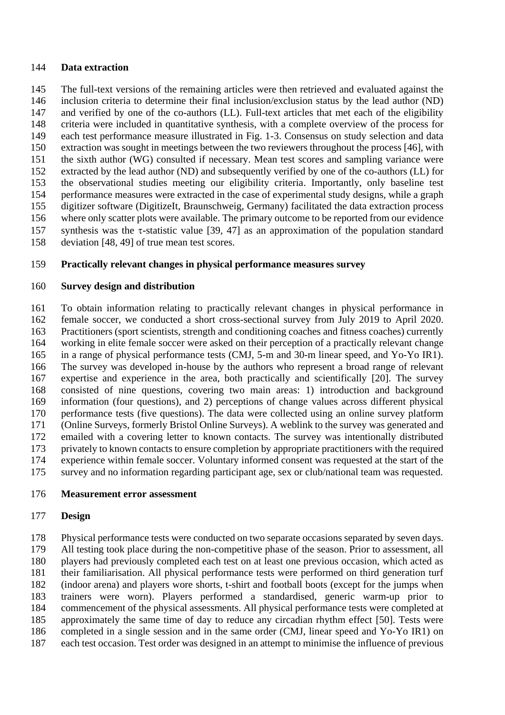#### **Data extraction**

 The full-text versions of the remaining articles were then retrieved and evaluated against the inclusion criteria to determine their final inclusion/exclusion status by the lead author (ND) and verified by one of the co-authors (LL). Full-text articles that met each of the eligibility criteria were included in quantitative synthesis, with a complete overview of the process for each test performance measure illustrated in Fig. 1-3. Consensus on study selection and data extraction was sought in meetings between the two reviewers throughout the process [46], with the sixth author (WG) consulted if necessary. Mean test scores and sampling variance were extracted by the lead author (ND) and subsequently verified by one of the co-authors (LL) for the observational studies meeting our eligibility criteria. Importantly, only baseline test performance measures were extracted in the case of experimental study designs, while a graph digitizer software (DigitizeIt, Braunschweig, Germany) facilitated the data extraction process where only scatter plots were available. The primary outcome to be reported from our evidence 157 synthesis was the  $\tau$ -statistic value [39, 47] as an approximation of the population standard deviation [48, 49] of true mean test scores.

## **Practically relevant changes in physical performance measures survey**

#### **Survey design and distribution**

 To obtain information relating to practically relevant changes in physical performance in female soccer, we conducted a short cross-sectional survey from July 2019 to April 2020. Practitioners (sport scientists, strength and conditioning coaches and fitness coaches) currently working in elite female soccer were asked on their perception of a practically relevant change in a range of physical performance tests (CMJ, 5-m and 30-m linear speed, and Yo-Yo IR1). The survey was developed in-house by the authors who represent a broad range of relevant expertise and experience in the area, both practically and scientifically [20]. The survey consisted of nine questions, covering two main areas: 1) introduction and background information (four questions), and 2) perceptions of change values across different physical performance tests (five questions). The data were collected using an online survey platform (Online Surveys, formerly Bristol Online Surveys). A weblink to the survey was generated and emailed with a covering letter to known contacts. The survey was intentionally distributed privately to known contacts to ensure completion by appropriate practitioners with the required experience within female soccer. Voluntary informed consent was requested at the start of the survey and no information regarding participant age, sex or club/national team was requested.

#### **Measurement error assessment**

#### **Design**

 Physical performance tests were conducted on two separate occasions separated by seven days. All testing took place during the non-competitive phase of the season. Prior to assessment, all players had previously completed each test on at least one previous occasion, which acted as their familiarisation. All physical performance tests were performed on third generation turf (indoor arena) and players wore shorts, t-shirt and football boots (except for the jumps when trainers were worn). Players performed a standardised, generic warm-up prior to commencement of the physical assessments. All physical performance tests were completed at approximately the same time of day to reduce any circadian rhythm effect [50]. Tests were completed in a single session and in the same order (CMJ, linear speed and Yo-Yo IR1) on each test occasion. Test order was designed in an attempt to minimise the influence of previous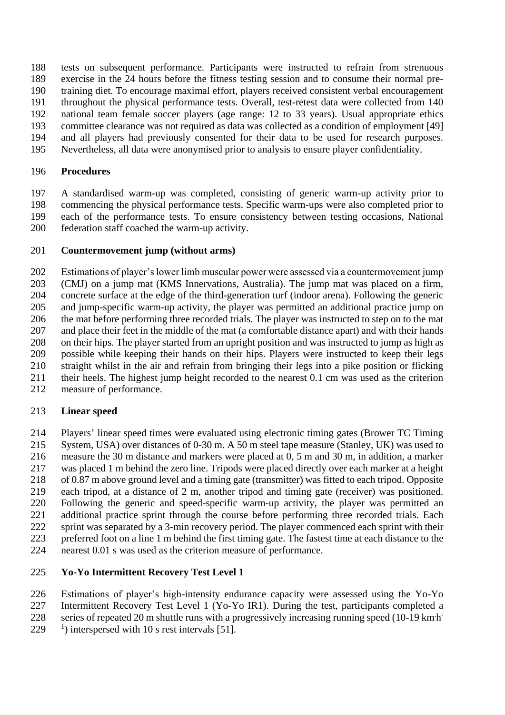tests on subsequent performance. Participants were instructed to refrain from strenuous

 exercise in the 24 hours before the fitness testing session and to consume their normal pre-training diet. To encourage maximal effort, players received consistent verbal encouragement

- 
- throughout the physical performance tests. Overall, test-retest data were collected from 140 national team female soccer players (age range: 12 to 33 years). Usual appropriate ethics
- committee clearance was not required as data was collected as a condition of employment [49]
- and all players had previously consented for their data to be used for research purposes.
- Nevertheless, all data were anonymised prior to analysis to ensure player confidentiality.

# **Procedures**

 A standardised warm-up was completed, consisting of generic warm-up activity prior to commencing the physical performance tests. Specific warm-ups were also completed prior to each of the performance tests. To ensure consistency between testing occasions, National federation staff coached the warm-up activity.

# **Countermovement jump (without arms)**

 Estimations of player's lower limb muscular power were assessed via a countermovement jump (CMJ) on a jump mat (KMS Innervations, Australia). The jump mat was placed on a firm, concrete surface at the edge of the third-generation turf (indoor arena). Following the generic and jump-specific warm-up activity, the player was permitted an additional practice jump on the mat before performing three recorded trials. The player was instructed to step on to the mat and place their feet in the middle of the mat (a comfortable distance apart) and with their hands on their hips. The player started from an upright position and was instructed to jump as high as possible while keeping their hands on their hips. Players were instructed to keep their legs straight whilst in the air and refrain from bringing their legs into a pike position or flicking their heels. The highest jump height recorded to the nearest 0.1 cm was used as the criterion measure of performance.

# **Linear speed**

 Players' linear speed times were evaluated using electronic timing gates (Brower TC Timing System, USA) over distances of 0-30 m. A 50 m steel tape measure (Stanley, UK) was used to measure the 30 m distance and markers were placed at 0, 5 m and 30 m, in addition, a marker was placed 1 m behind the zero line. Tripods were placed directly over each marker at a height of 0.87 m above ground level and a timing gate (transmitter) was fitted to each tripod. Opposite each tripod, at a distance of 2 m, another tripod and timing gate (receiver) was positioned. Following the generic and speed-specific warm-up activity, the player was permitted an 221 additional practice sprint through the course before performing three recorded trials. Each sprint was separated by a 3-min recovery period. The player commenced each sprint with their preferred foot on a line 1 m behind the first timing gate. The fastest time at each distance to the nearest 0.01 s was used as the criterion measure of performance.

# **Yo-Yo Intermittent Recovery Test Level 1**

- Estimations of player's high-intensity endurance capacity were assessed using the Yo-Yo
- Intermittent Recovery Test Level 1 (Yo-Yo IR1). During the test, participants completed a
- 228 series of repeated 20 m shuttle runs with a progressively increasing running speed (10-19 km h
- <sup>1</sup>) interspersed with 10 s rest intervals [51].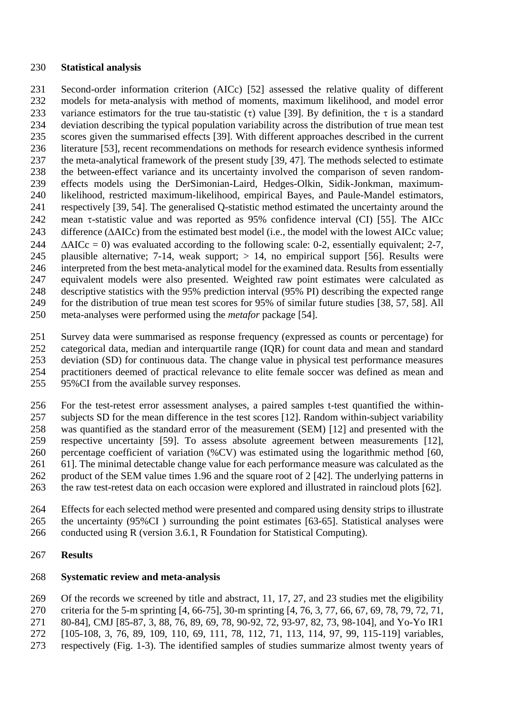#### **Statistical analysis**

 Second-order information criterion (AICc) [52] assessed the relative quality of different models for meta-analysis with method of moments, maximum likelihood, and model error 233 variance estimators for the true tau-statistic  $(\tau)$  value [39]. By definition, the  $\tau$  is a standard deviation describing the typical population variability across the distribution of true mean test scores given the summarised effects [39]. With different approaches described in the current literature [53], recent recommendations on methods for research evidence synthesis informed the meta-analytical framework of the present study [39, 47]. The methods selected to estimate the between-effect variance and its uncertainty involved the comparison of seven random- effects models using the DerSimonian-Laird, Hedges-Olkin, Sidik-Jonkman, maximum- likelihood, restricted maximum-likelihood, empirical Bayes, and Paule-Mandel estimators, respectively [39, 54]. The generalised Q-statistic method estimated the uncertainty around the 242 mean  $\tau$ -statistic value and was reported as 95% confidence interval (CI) [55]. The AICc 243 difference  $(AAICc)$  from the estimated best model (i.e., the model with the lowest AICc value;  $\triangle$ AICc = 0) was evaluated according to the following scale: 0-2, essentially equivalent; 2-7, plausible alternative; 7-14, weak support; > 14, no empirical support [56]. Results were interpreted from the best meta-analytical model for the examined data. Results from essentially equivalent models were also presented. Weighted raw point estimates were calculated as descriptive statistics with the 95% prediction interval (95% PI) describing the expected range for the distribution of true mean test scores for 95% of similar future studies [38, 57, 58]. All meta-analyses were performed using the *metafor* package [54].

 Survey data were summarised as response frequency (expressed as counts or percentage) for categorical data, median and interquartile range (IQR) for count data and mean and standard deviation (SD) for continuous data. The change value in physical test performance measures practitioners deemed of practical relevance to elite female soccer was defined as mean and 95%CI from the available survey responses.

 For the test-retest error assessment analyses, a paired samples t-test quantified the within- subjects SD for the mean difference in the test scores [12]. Random within-subject variability was quantified as the standard error of the measurement (SEM) [12] and presented with the respective uncertainty [59]. To assess absolute agreement between measurements [12], percentage coefficient of variation (%CV) was estimated using the logarithmic method [60, 61]. The minimal detectable change value for each performance measure was calculated as the product of the SEM value times 1.96 and the square root of 2 [42]. The underlying patterns in the raw test-retest data on each occasion were explored and illustrated in raincloud plots [62].

 Effects for each selected method were presented and compared using density strips to illustrate the uncertainty (95%CI ) surrounding the point estimates [63-65]. Statistical analyses were conducted using R (version 3.6.1, R Foundation for Statistical Computing).

## **Results**

## **Systematic review and meta-analysis**

 Of the records we screened by title and abstract, 11, 17, 27, and 23 studies met the eligibility criteria for the 5-m sprinting [4, 66-75], 30-m sprinting [4, 76, 3, 77, 66, 67, 69, 78, 79, 72, 71, 80-84], CMJ [85-87, 3, 88, 76, 89, 69, 78, 90-92, 72, 93-97, 82, 73, 98-104], and Yo-Yo IR1 [105-108, 3, 76, 89, 109, 110, 69, 111, 78, 112, 71, 113, 114, 97, 99, 115-119] variables, respectively (Fig. 1-3). The identified samples of studies summarize almost twenty years of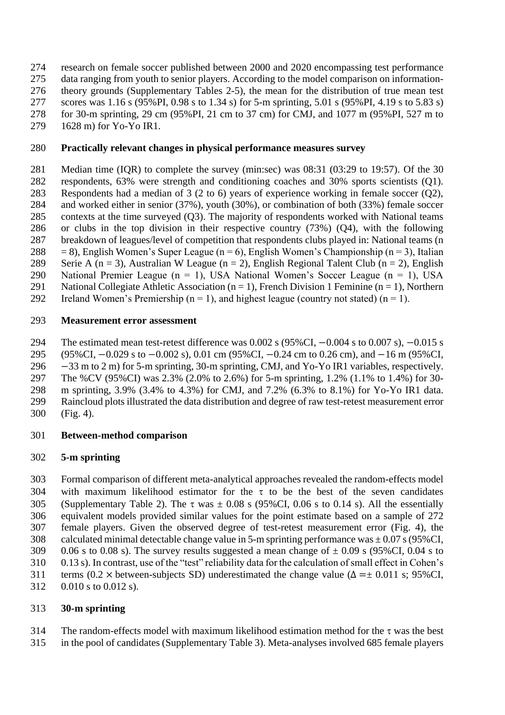research on female soccer published between 2000 and 2020 encompassing test performance data ranging from youth to senior players. According to the model comparison on information- theory grounds (Supplementary Tables 2-5), the mean for the distribution of true mean test scores was 1.16 s (95%PI, 0.98 s to 1.34 s) for 5-m sprinting, 5.01 s (95%PI, 4.19 s to 5.83 s) for 30-m sprinting, 29 cm (95%PI, 21 cm to 37 cm) for CMJ, and 1077 m (95%PI, 527 m to 1628 m) for Yo-Yo IR1.

# **Practically relevant changes in physical performance measures survey**

- Median time (IQR) to complete the survey (min:sec) was 08:31 (03:29 to 19:57). Of the 30 respondents, 63% were strength and conditioning coaches and 30% sports scientists (Q1). Respondents had a median of 3 (2 to 6) years of experience working in female soccer (Q2), and worked either in senior (37%), youth (30%), or combination of both (33%) female soccer contexts at the time surveyed (Q3). The majority of respondents worked with National teams or clubs in the top division in their respective country (73%) (Q4), with the following breakdown of leagues/level of competition that respondents clubs played in: National teams (n 288 = 8), English Women's Super League (n = 6), English Women's Championship (n = 3), Italian 289 Serie A (n = 3), Australian W League (n = 2), English Regional Talent Club (n = 2), English National Premier League (n = 1), USA National Women's Soccer League (n = 1), USA 291 National Collegiate Athletic Association ( $n = 1$ ), French Division 1 Feminine ( $n = 1$ ), Northern
- 292 Ireland Women's Premiership ( $n = 1$ ), and highest league (country not stated) ( $n = 1$ ).

## **Measurement error assessment**

The estimated mean test-retest difference was 0.002 s (95%CI, −0.004 s to 0.007 s), −0.015 s

(95%CI, −0.029 s to −0.002 s), 0.01 cm (95%CI, −0.24 cm to 0.26 cm), and −16 m (95%CI,

−33 m to 2 m) for 5-m sprinting, 30-m sprinting, CMJ, and Yo-Yo IR1 variables, respectively.

The %CV (95%CI) was 2.3% (2.0% to 2.6%) for 5-m sprinting, 1.2% (1.1% to 1.4%) for 30-

- m sprinting, 3.9% (3.4% to 4.3%) for CMJ, and 7.2% (6.3% to 8.1%) for Yo-Yo IR1 data.
- Raincloud plots illustrated the data distribution and degree of raw test-retest measurement error
- (Fig. 4).
- **Between-method comparison**

# **5-m sprinting**

 Formal comparison of different meta-analytical approaches revealed the random-effects model 304 with maximum likelihood estimator for the  $\tau$  to be the best of the seven candidates 305 (Supplementary Table 2). The  $\tau$  was  $\pm$  0.08 s (95%CI, 0.06 s to 0.14 s). All the essentially equivalent models provided similar values for the point estimate based on a sample of 272 female players. Given the observed degree of test-retest measurement error (Fig. 4), the 308 calculated minimal detectable change value in 5-m sprinting performance was  $\pm 0.07$  s (95%CI, 309 0.06 s to 0.08 s). The survey results suggested a mean change of  $\pm$  0.09 s (95%CI, 0.04 s to 0.13 s). In contrast, use of the "test" reliability data for the calculation of small effect in Cohen's 311 terms (0.2 × between-subjects SD) underestimated the change value ( $\Delta = \pm 0.011$  s; 95%CI, 0.010 s to 0.012 s).

## **30-m sprinting**

- 314 The random-effects model with maximum likelihood estimation method for the  $\tau$  was the best
- in the pool of candidates (Supplementary Table 3). Meta-analyses involved 685 female players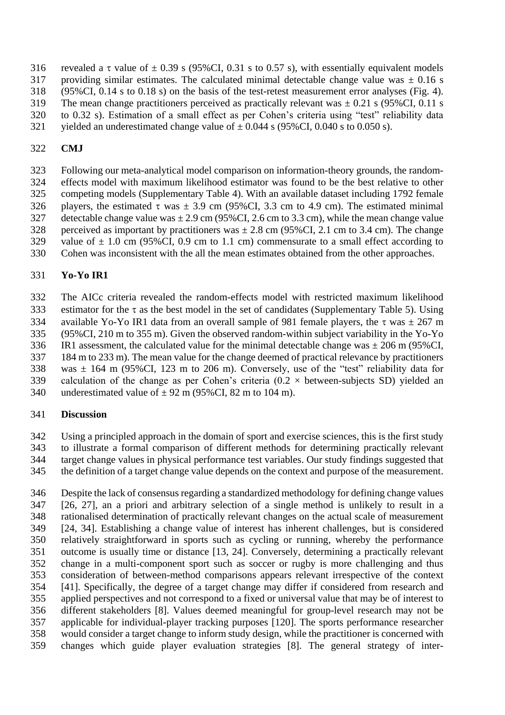- 316 revealed a  $\tau$  value of  $\pm$  0.39 s (95%CI, 0.31 s to 0.57 s), with essentially equivalent models
- 317 providing similar estimates. The calculated minimal detectable change value was  $\pm$  0.16 s (95%CI, 0.14 s to 0.18 s) on the basis of the test-retest measurement error analyses (Fig. 4).
- 
- 319 The mean change practitioners perceived as practically relevant was  $\pm$  0.21 s (95%CI, 0.11 s to 0.32 s). Estimation of a small effect as per Cohen's criteria using "test" reliability data
- 321 vielded an underestimated change value of  $\pm 0.044$  s (95%CI, 0.040 s to 0.050 s).

# **CMJ**

 Following our meta-analytical model comparison on information-theory grounds, the random- effects model with maximum likelihood estimator was found to be the best relative to other competing models (Supplementary Table 4). With an available dataset including 1792 female 326 players, the estimated  $\tau$  was  $\pm$  3.9 cm (95%CI, 3.3 cm to 4.9 cm). The estimated minimal 327 detectable change value was  $\pm 2.9$  cm (95%CI, 2.6 cm to 3.3 cm), while the mean change value 328 perceived as important by practitioners was  $\pm 2.8$  cm (95%CI, 2.1 cm to 3.4 cm). The change 329 value of  $\pm$  1.0 cm (95%CI, 0.9 cm to 1.1 cm) commensurate to a small effect according to Cohen was inconsistent with the all the mean estimates obtained from the other approaches.

# **Yo-Yo IR1**

 The AICc criteria revealed the random-effects model with restricted maximum likelihood 333 estimator for the  $\tau$  as the best model in the set of candidates (Supplementary Table 5). Using 334 available Yo-Yo IR1 data from an overall sample of 981 female players, the  $\tau$  was  $\pm$  267 m (95%CI, 210 m to 355 m). Given the observed random-within subject variability in the Yo-Yo 336 IR1 assessment, the calculated value for the minimal detectable change was  $\pm$  206 m (95%CI, 184 m to 233 m). The mean value for the change deemed of practical relevance by practitioners 338 was  $\pm$  164 m (95%CI, 123 m to 206 m). Conversely, use of the "test" reliability data for 339 calculation of the change as per Cohen's criteria  $(0.2 \times$  between-subjects SD) vielded an 340 underestimated value of  $\pm$  92 m (95%CI, 82 m to 104 m).

# **Discussion**

 Using a principled approach in the domain of sport and exercise sciences, this is the first study to illustrate a formal comparison of different methods for determining practically relevant target change values in physical performance test variables. Our study findings suggested that the definition of a target change value depends on the context and purpose of the measurement.

 Despite the lack of consensus regarding a standardized methodology for defining change values [26, 27], an a priori and arbitrary selection of a single method is unlikely to result in a rationalised determination of practically relevant changes on the actual scale of measurement [24, 34]. Establishing a change value of interest has inherent challenges, but is considered relatively straightforward in sports such as cycling or running, whereby the performance outcome is usually time or distance [13, 24]. Conversely, determining a practically relevant change in a multi-component sport such as soccer or rugby is more challenging and thus consideration of between-method comparisons appears relevant irrespective of the context [41]. Specifically, the degree of a target change may differ if considered from research and applied perspectives and not correspond to a fixed or universal value that may be of interest to different stakeholders [8]. Values deemed meaningful for group-level research may not be applicable for individual-player tracking purposes [120]. The sports performance researcher would consider a target change to inform study design, while the practitioner is concerned with changes which guide player evaluation strategies [8]. The general strategy of inter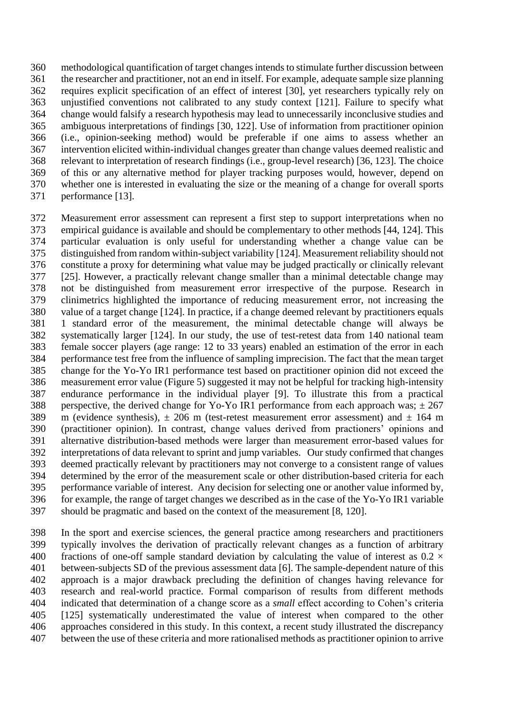methodological quantification of target changes intends to stimulate further discussion between the researcher and practitioner, not an end in itself. For example, adequate sample size planning requires explicit specification of an effect of interest [30], yet researchers typically rely on unjustified conventions not calibrated to any study context [121]. Failure to specify what change would falsify a research hypothesis may lead to unnecessarily inconclusive studies and ambiguous interpretations of findings [30, 122]. Use of information from practitioner opinion (i.e., opinion-seeking method) would be preferable if one aims to assess whether an intervention elicited within-individual changes greater than change values deemed realistic and relevant to interpretation of research findings (i.e., group-level research) [36, 123]. The choice of this or any alternative method for player tracking purposes would, however, depend on whether one is interested in evaluating the size or the meaning of a change for overall sports performance [13].

 Measurement error assessment can represent a first step to support interpretations when no empirical guidance is available and should be complementary to other methods [44, 124]. This particular evaluation is only useful for understanding whether a change value can be distinguished from random within-subject variability [124]. Measurement reliability should not constitute a proxy for determining what value may be judged practically or clinically relevant [25]. However, a practically relevant change smaller than a minimal detectable change may not be distinguished from measurement error irrespective of the purpose. Research in clinimetrics highlighted the importance of reducing measurement error, not increasing the value of a target change [124]. In practice, if a change deemed relevant by practitioners equals 1 standard error of the measurement, the minimal detectable change will always be systematically larger [124]. In our study, the use of test-retest data from 140 national team female soccer players (age range: 12 to 33 years) enabled an estimation of the error in each performance test free from the influence of sampling imprecision. The fact that the mean target change for the Yo-Yo IR1 performance test based on practitioner opinion did not exceed the measurement error value (Figure 5) suggested it may not be helpful for tracking high-intensity endurance performance in the individual player [9]. To illustrate this from a practical 388 perspective, the derived change for Yo-Yo IR1 performance from each approach was;  $\pm 267$ 389 m (evidence synthesis),  $\pm$  206 m (test-retest measurement error assessment) and  $\pm$  164 m (practitioner opinion). In contrast, change values derived from practioners' opinions and alternative distribution-based methods were larger than measurement error-based values for interpretations of data relevant to sprint and jump variables. Our study confirmed that changes deemed practically relevant by practitioners may not converge to a consistent range of values determined by the error of the measurement scale or other distribution-based criteria for each performance variable of interest. Any decision for selecting one or another value informed by, for example, the range of target changes we described as in the case of the Yo-Yo IR1 variable should be pragmatic and based on the context of the measurement [8, 120].

 In the sport and exercise sciences, the general practice among researchers and practitioners typically involves the derivation of practically relevant changes as a function of arbitrary 400 fractions of one-off sample standard deviation by calculating the value of interest as  $0.2 \times$  between-subjects SD of the previous assessment data [6]. The sample-dependent nature of this approach is a major drawback precluding the definition of changes having relevance for research and real-world practice. Formal comparison of results from different methods indicated that determination of a change score as a *small* effect according to Cohen's criteria [125] systematically underestimated the value of interest when compared to the other approaches considered in this study. In this context, a recent study illustrated the discrepancy between the use of these criteria and more rationalised methods as practitioner opinion to arrive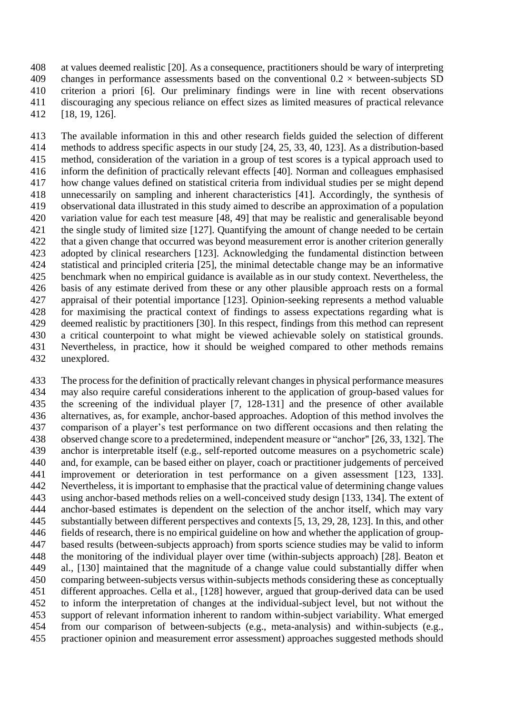at values deemed realistic [20]. As a consequence, practitioners should be wary of interpreting 409 changes in performance assessments based on the conventional  $0.2 \times$  between-subjects SD criterion a priori [6]. Our preliminary findings were in line with recent observations discouraging any specious reliance on effect sizes as limited measures of practical relevance [18, 19, 126].

 The available information in this and other research fields guided the selection of different methods to address specific aspects in our study [24, 25, 33, 40, 123]. As a distribution-based method, consideration of the variation in a group of test scores is a typical approach used to inform the definition of practically relevant effects [40]. Norman and colleagues emphasised how change values defined on statistical criteria from individual studies per se might depend unnecessarily on sampling and inherent characteristics [41]. Accordingly, the synthesis of observational data illustrated in this study aimed to describe an approximation of a population variation value for each test measure [48, 49] that may be realistic and generalisable beyond the single study of limited size [127]. Quantifying the amount of change needed to be certain that a given change that occurred was beyond measurement error is another criterion generally adopted by clinical researchers [123]. Acknowledging the fundamental distinction between statistical and principled criteria [25], the minimal detectable change may be an informative benchmark when no empirical guidance is available as in our study context. Nevertheless, the basis of any estimate derived from these or any other plausible approach rests on a formal appraisal of their potential importance [123]. Opinion-seeking represents a method valuable for maximising the practical context of findings to assess expectations regarding what is deemed realistic by practitioners [30]. In this respect, findings from this method can represent a critical counterpoint to what might be viewed achievable solely on statistical grounds. Nevertheless, in practice, how it should be weighed compared to other methods remains unexplored.

 The process for the definition of practically relevant changes in physical performance measures may also require careful considerations inherent to the application of group-based values for the screening of the individual player [7, 128-131] and the presence of other available alternatives, as, for example, anchor-based approaches. Adoption of this method involves the comparison of a player's test performance on two different occasions and then relating the observed change score to a predetermined, independent measure or "anchor" [26, 33, 132]. The anchor is interpretable itself (e.g., self-reported outcome measures on a psychometric scale) and, for example, can be based either on player, coach or practitioner judgements of perceived improvement or deterioration in test performance on a given assessment [123, 133]. Nevertheless, it is important to emphasise that the practical value of determining change values using anchor-based methods relies on a well-conceived study design [133, 134]. The extent of anchor-based estimates is dependent on the selection of the anchor itself, which may vary substantially between different perspectives and contexts [5, 13, 29, 28, 123]. In this, and other fields of research, there is no empirical guideline on how and whether the application of group- based results (between-subjects approach) from sports science studies may be valid to inform the monitoring of the individual player over time (within-subjects approach) [28]. Beaton et al., [130] maintained that the magnitude of a change value could substantially differ when comparing between-subjects versus within-subjects methods considering these as conceptually different approaches. Cella et al., [128] however, argued that group-derived data can be used to inform the interpretation of changes at the individual-subject level, but not without the support of relevant information inherent to random within-subject variability. What emerged from our comparison of between-subjects (e.g., meta-analysis) and within-subjects (e.g., practioner opinion and measurement error assessment) approaches suggested methods should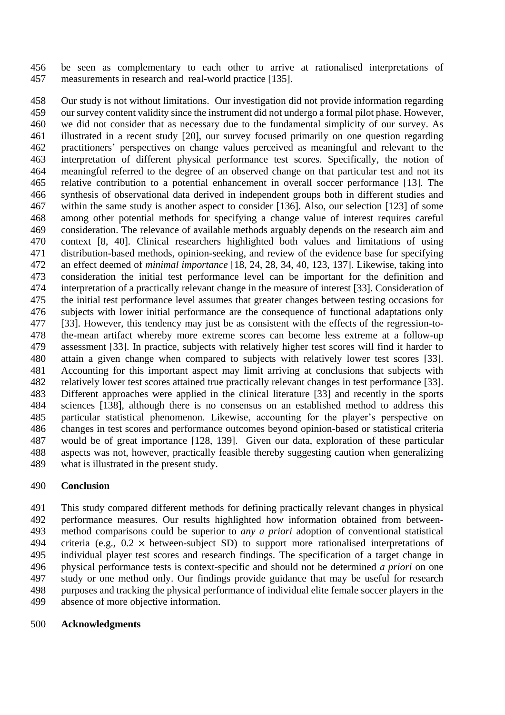be seen as complementary to each other to arrive at rationalised interpretations of measurements in research and real-world practice [135].

 Our study is not without limitations. Our investigation did not provide information regarding our survey content validity since the instrument did not undergo a formal pilot phase. However, we did not consider that as necessary due to the fundamental simplicity of our survey. As illustrated in a recent study [20], our survey focused primarily on one question regarding practitioners' perspectives on change values perceived as meaningful and relevant to the interpretation of different physical performance test scores. Specifically, the notion of meaningful referred to the degree of an observed change on that particular test and not its relative contribution to a potential enhancement in overall soccer performance [13]. The synthesis of observational data derived in independent groups both in different studies and within the same study is another aspect to consider [136]. Also, our selection [123] of some among other potential methods for specifying a change value of interest requires careful consideration. The relevance of available methods arguably depends on the research aim and context [8, 40]. Clinical researchers highlighted both values and limitations of using distribution-based methods, opinion-seeking, and review of the evidence base for specifying an effect deemed of *minimal importance* [18, 24, 28, 34, 40, 123, 137]. Likewise, taking into consideration the initial test performance level can be important for the definition and interpretation of a practically relevant change in the measure of interest [33]. Consideration of the initial test performance level assumes that greater changes between testing occasions for subjects with lower initial performance are the consequence of functional adaptations only [33]. However, this tendency may just be as consistent with the effects of the regression-to- the-mean artifact whereby more extreme scores can become less extreme at a follow-up assessment [33]. In practice, subjects with relatively higher test scores will find it harder to attain a given change when compared to subjects with relatively lower test scores [33]. Accounting for this important aspect may limit arriving at conclusions that subjects with relatively lower test scores attained true practically relevant changes in test performance [33]. Different approaches were applied in the clinical literature [33] and recently in the sports sciences [138], although there is no consensus on an established method to address this particular statistical phenomenon. Likewise, accounting for the player's perspective on changes in test scores and performance outcomes beyond opinion-based or statistical criteria would be of great importance [128, 139]. Given our data, exploration of these particular aspects was not, however, practically feasible thereby suggesting caution when generalizing what is illustrated in the present study.

## **Conclusion**

 This study compared different methods for defining practically relevant changes in physical performance measures. Our results highlighted how information obtained from between- method comparisons could be superior to *any a priori* adoption of conventional statistical 494 criteria (e.g.,  $0.2 \times$  between-subject SD) to support more rationalised interpretations of individual player test scores and research findings. The specification of a target change in physical performance tests is context-specific and should not be determined *a priori* on one study or one method only. Our findings provide guidance that may be useful for research purposes and tracking the physical performance of individual elite female soccer players in the absence of more objective information.

#### **Acknowledgments**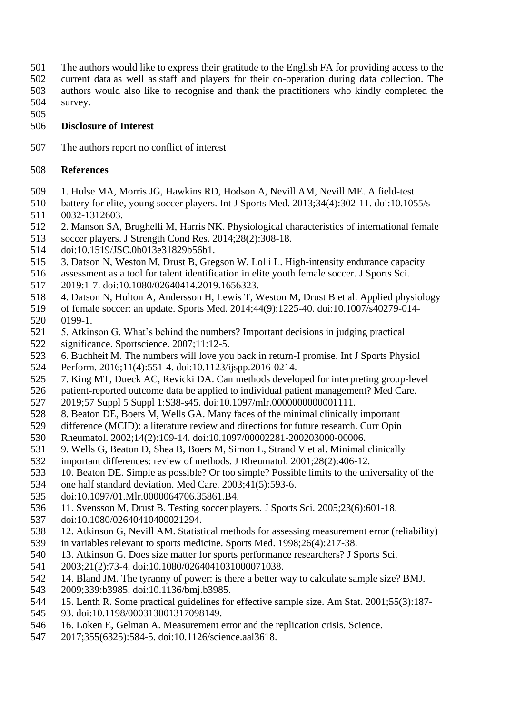- The authors would like to express their gratitude to the English FA for providing access to the
- current data as well as staff and players for their co-operation during data collection. The authors would also like to recognise and thank the practitioners who kindly completed the survey.
- 

# **Disclosure of Interest**

The authors report no conflict of interest

# **References**

- 1. Hulse MA, Morris JG, Hawkins RD, Hodson A, Nevill AM, Nevill ME. A field-test
- battery for elite, young soccer players. Int J Sports Med. 2013;34(4):302-11. doi:10.1055/s-0032-1312603.
- 2. Manson SA, Brughelli M, Harris NK. Physiological characteristics of international female
- soccer players. J Strength Cond Res. 2014;28(2):308-18.
- doi:10.1519/JSC.0b013e31829b56b1.
- 3. Datson N, Weston M, Drust B, Gregson W, Lolli L. High-intensity endurance capacity
- assessment as a tool for talent identification in elite youth female soccer. J Sports Sci.
- 2019:1-7. doi:10.1080/02640414.2019.1656323.
- 4. Datson N, Hulton A, Andersson H, Lewis T, Weston M, Drust B et al. Applied physiology
- of female soccer: an update. Sports Med. 2014;44(9):1225-40. doi:10.1007/s40279-014- 0199-1.
- 5. Atkinson G. What's behind the numbers? Important decisions in judging practical
- significance. Sportscience. 2007;11:12-5.
- 6. Buchheit M. The numbers will love you back in return-I promise. Int J Sports Physiol
- Perform. 2016;11(4):551-4. doi:10.1123/ijspp.2016-0214.
- 7. King MT, Dueck AC, Revicki DA. Can methods developed for interpreting group-level
- patient-reported outcome data be applied to individual patient management? Med Care.
- 2019;57 Suppl 5 Suppl 1:S38-s45. doi:10.1097/mlr.0000000000001111.
- 8. Beaton DE, Boers M, Wells GA. Many faces of the minimal clinically important
- difference (MCID): a literature review and directions for future research. Curr Opin
- Rheumatol. 2002;14(2):109-14. doi:10.1097/00002281-200203000-00006.
- 9. Wells G, Beaton D, Shea B, Boers M, Simon L, Strand V et al. Minimal clinically
- important differences: review of methods. J Rheumatol. 2001;28(2):406-12.
- 10. Beaton DE. Simple as possible? Or too simple? Possible limits to the universality of the
- one half standard deviation. Med Care. 2003;41(5):593-6.
- doi:10.1097/01.Mlr.0000064706.35861.B4.
- 11. Svensson M, Drust B. Testing soccer players. J Sports Sci. 2005;23(6):601-18.
- doi:10.1080/02640410400021294.
- 12. Atkinson G, Nevill AM. Statistical methods for assessing measurement error (reliability)
- in variables relevant to sports medicine. Sports Med. 1998;26(4):217-38.
- 13. Atkinson G. Does size matter for sports performance researchers? J Sports Sci.
- 2003;21(2):73-4. doi:10.1080/0264041031000071038.
- 14. Bland JM. The tyranny of power: is there a better way to calculate sample size? BMJ.
- 2009;339:b3985. doi:10.1136/bmj.b3985.
- 15. Lenth R. Some practical guidelines for effective sample size. Am Stat. 2001;55(3):187-
- 93. doi:10.1198/000313001317098149.
- 16. Loken E, Gelman A. Measurement error and the replication crisis. Science.
- 2017;355(6325):584-5. doi:10.1126/science.aal3618.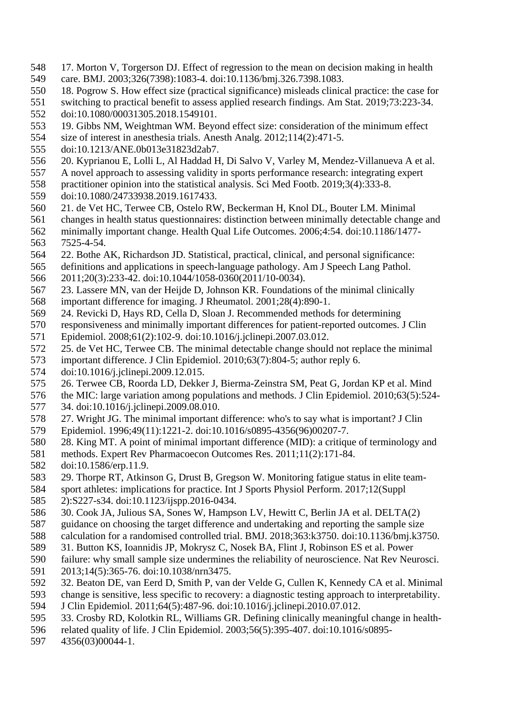- 17. Morton V, Torgerson DJ. Effect of regression to the mean on decision making in health care. BMJ. 2003;326(7398):1083-4. doi:10.1136/bmj.326.7398.1083.
- 18. Pogrow S. How effect size (practical significance) misleads clinical practice: the case for
- switching to practical benefit to assess applied research findings. Am Stat. 2019;73:223-34.
- doi:10.1080/00031305.2018.1549101.
- 19. Gibbs NM, Weightman WM. Beyond effect size: consideration of the minimum effect
- size of interest in anesthesia trials. Anesth Analg. 2012;114(2):471-5.
- doi:10.1213/ANE.0b013e31823d2ab7.
- 20. Kyprianou E, Lolli L, Al Haddad H, Di Salvo V, Varley M, Mendez-Villanueva A et al.
- A novel approach to assessing validity in sports performance research: integrating expert
- practitioner opinion into the statistical analysis. Sci Med Footb. 2019;3(4):333-8.
- doi:10.1080/24733938.2019.1617433.
- 21. de Vet HC, Terwee CB, Ostelo RW, Beckerman H, Knol DL, Bouter LM. Minimal
- changes in health status questionnaires: distinction between minimally detectable change and minimally important change. Health Qual Life Outcomes. 2006;4:54. doi:10.1186/1477-
- 7525-4-54.
- 22. Bothe AK, Richardson JD. Statistical, practical, clinical, and personal significance:
- definitions and applications in speech-language pathology. Am J Speech Lang Pathol.
- 2011;20(3):233-42. doi:10.1044/1058-0360(2011/10-0034).
- 23. Lassere MN, van der Heijde D, Johnson KR. Foundations of the minimal clinically
- important difference for imaging. J Rheumatol. 2001;28(4):890-1.
- 24. Revicki D, Hays RD, Cella D, Sloan J. Recommended methods for determining
- responsiveness and minimally important differences for patient-reported outcomes. J Clin
- Epidemiol. 2008;61(2):102-9. doi:10.1016/j.jclinepi.2007.03.012.
- 25. de Vet HC, Terwee CB. The minimal detectable change should not replace the minimal
- important difference. J Clin Epidemiol. 2010;63(7):804-5; author reply 6.
- doi:10.1016/j.jclinepi.2009.12.015.
- 26. Terwee CB, Roorda LD, Dekker J, Bierma-Zeinstra SM, Peat G, Jordan KP et al. Mind
- the MIC: large variation among populations and methods. J Clin Epidemiol. 2010;63(5):524- 34. doi:10.1016/j.jclinepi.2009.08.010.
- 27. Wright JG. The minimal important difference: who's to say what is important? J Clin Epidemiol. 1996;49(11):1221-2. doi:10.1016/s0895-4356(96)00207-7.
- 28. King MT. A point of minimal important difference (MID): a critique of terminology and
- methods. Expert Rev Pharmacoecon Outcomes Res. 2011;11(2):171-84.
- doi:10.1586/erp.11.9.
- 29. Thorpe RT, Atkinson G, Drust B, Gregson W. Monitoring fatigue status in elite team-
- sport athletes: implications for practice. Int J Sports Physiol Perform. 2017;12(Suppl
- 2):S227-s34. doi:10.1123/ijspp.2016-0434.
- 30. Cook JA, Julious SA, Sones W, Hampson LV, Hewitt C, Berlin JA et al. DELTA(2)
- guidance on choosing the target difference and undertaking and reporting the sample size
- calculation for a randomised controlled trial. BMJ. 2018;363:k3750. doi:10.1136/bmj.k3750.
- 31. Button KS, Ioannidis JP, Mokrysz C, Nosek BA, Flint J, Robinson ES et al. Power
- failure: why small sample size undermines the reliability of neuroscience. Nat Rev Neurosci. 2013;14(5):365-76. doi:10.1038/nrn3475.
- 32. Beaton DE, van Eerd D, Smith P, van der Velde G, Cullen K, Kennedy CA et al. Minimal
- change is sensitive, less specific to recovery: a diagnostic testing approach to interpretability.
- J Clin Epidemiol. 2011;64(5):487-96. doi:10.1016/j.jclinepi.2010.07.012.
- 33. Crosby RD, Kolotkin RL, Williams GR. Defining clinically meaningful change in health-
- related quality of life. J Clin Epidemiol. 2003;56(5):395-407. doi:10.1016/s0895-
- 4356(03)00044-1.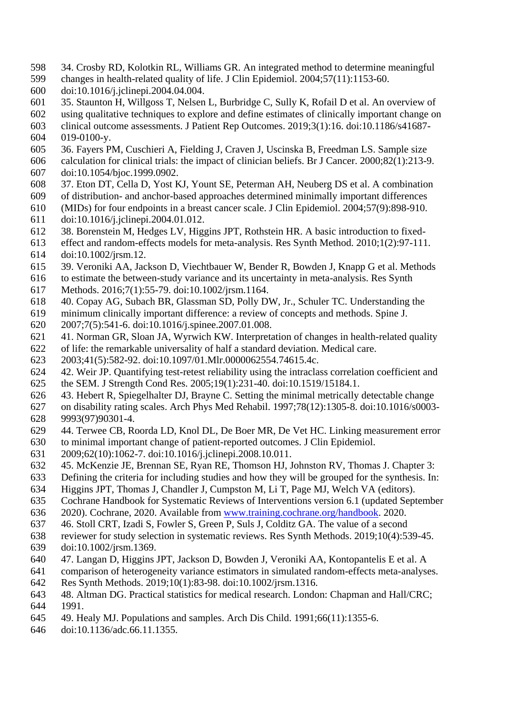- 34. Crosby RD, Kolotkin RL, Williams GR. An integrated method to determine meaningful
- changes in health-related quality of life. J Clin Epidemiol. 2004;57(11):1153-60.
- doi:10.1016/j.jclinepi.2004.04.004.
- 35. Staunton H, Willgoss T, Nelsen L, Burbridge C, Sully K, Rofail D et al. An overview of
- using qualitative techniques to explore and define estimates of clinically important change on
- clinical outcome assessments. J Patient Rep Outcomes. 2019;3(1):16. doi:10.1186/s41687- 019-0100-y.
- 36. Fayers PM, Cuschieri A, Fielding J, Craven J, Uscinska B, Freedman LS. Sample size
- calculation for clinical trials: the impact of clinician beliefs. Br J Cancer. 2000;82(1):213-9. doi:10.1054/bjoc.1999.0902.
- 37. Eton DT, Cella D, Yost KJ, Yount SE, Peterman AH, Neuberg DS et al. A combination
- of distribution- and anchor-based approaches determined minimally important differences
- (MIDs) for four endpoints in a breast cancer scale. J Clin Epidemiol. 2004;57(9):898-910.
- doi:10.1016/j.jclinepi.2004.01.012.
- 38. Borenstein M, Hedges LV, Higgins JPT, Rothstein HR. A basic introduction to fixed-
- effect and random-effects models for meta-analysis. Res Synth Method. 2010;1(2):97-111. doi:10.1002/jrsm.12.
- 39. Veroniki AA, Jackson D, Viechtbauer W, Bender R, Bowden J, Knapp G et al. Methods
- to estimate the between-study variance and its uncertainty in meta-analysis. Res Synth
- Methods. 2016;7(1):55-79. doi:10.1002/jrsm.1164.
- 40. Copay AG, Subach BR, Glassman SD, Polly DW, Jr., Schuler TC. Understanding the
- minimum clinically important difference: a review of concepts and methods. Spine J.
- 2007;7(5):541-6. doi:10.1016/j.spinee.2007.01.008.
- 41. Norman GR, Sloan JA, Wyrwich KW. Interpretation of changes in health-related quality
- of life: the remarkable universality of half a standard deviation. Medical care.
- 2003;41(5):582-92. doi:10.1097/01.Mlr.0000062554.74615.4c.
- 42. Weir JP. Quantifying test-retest reliability using the intraclass correlation coefficient and
- the SEM. J Strength Cond Res. 2005;19(1):231-40. doi:10.1519/15184.1.
- 43. Hebert R, Spiegelhalter DJ, Brayne C. Setting the minimal metrically detectable change
- on disability rating scales. Arch Phys Med Rehabil. 1997;78(12):1305-8. doi:10.1016/s0003- 9993(97)90301-4.
- 44. Terwee CB, Roorda LD, Knol DL, De Boer MR, De Vet HC. Linking measurement error
- to minimal important change of patient-reported outcomes. J Clin Epidemiol.
- 2009;62(10):1062-7. doi:10.1016/j.jclinepi.2008.10.011.
- 45. McKenzie JE, Brennan SE, Ryan RE, Thomson HJ, Johnston RV, Thomas J. Chapter 3:
- Defining the criteria for including studies and how they will be grouped for the synthesis. In:
- Higgins JPT, Thomas J, Chandler J, Cumpston M, Li T, Page MJ, Welch VA (editors).
- Cochrane Handbook for Systematic Reviews of Interventions version 6.1 (updated September
- 2020). Cochrane, 2020. Available from [www.training.cochrane.org/handbook.](file:///C:/Users/Lorenzo/Desktop/www.training.cochrane.org/handbook) 2020.
- 46. Stoll CRT, Izadi S, Fowler S, Green P, Suls J, Colditz GA. The value of a second
- reviewer for study selection in systematic reviews. Res Synth Methods. 2019;10(4):539-45.
- doi:10.1002/jrsm.1369.
- 47. Langan D, Higgins JPT, Jackson D, Bowden J, Veroniki AA, Kontopantelis E et al. A
- comparison of heterogeneity variance estimators in simulated random-effects meta-analyses.
- Res Synth Methods. 2019;10(1):83-98. doi:10.1002/jrsm.1316.
- 48. Altman DG. Practical statistics for medical research. London: Chapman and Hall/CRC; 1991.
- 49. Healy MJ. Populations and samples. Arch Dis Child. 1991;66(11):1355-6.
- doi:10.1136/adc.66.11.1355.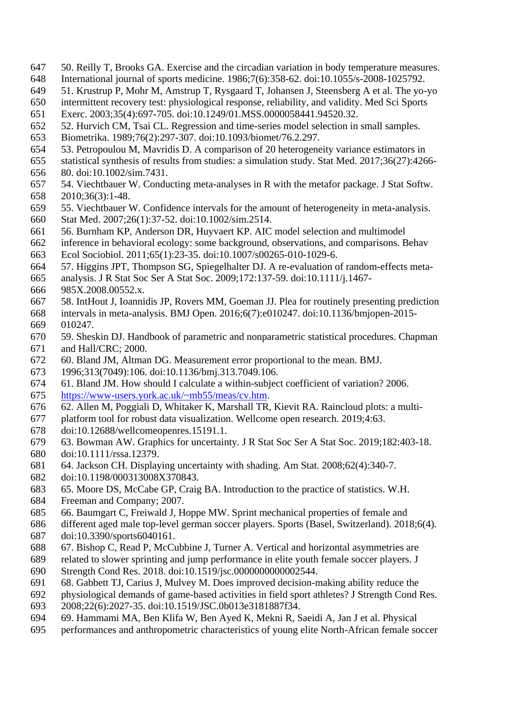- 50. Reilly T, Brooks GA. Exercise and the circadian variation in body temperature measures. International journal of sports medicine. 1986;7(6):358-62. doi:10.1055/s-2008-1025792.
- 51. Krustrup P, Mohr M, Amstrup T, Rysgaard T, Johansen J, Steensberg A et al. The yo-yo
- intermittent recovery test: physiological response, reliability, and validity. Med Sci Sports
- Exerc. 2003;35(4):697-705. doi:10.1249/01.MSS.0000058441.94520.32.
- 52. Hurvich CM, Tsai CL. Regression and time-series model selection in small samples.
- Biometrika. 1989;76(2):297-307. doi:10.1093/biomet/76.2.297.
- 53. Petropoulou M, Mavridis D. A comparison of 20 heterogeneity variance estimators in
- statistical synthesis of results from studies: a simulation study. Stat Med. 2017;36(27):4266- 80. doi:10.1002/sim.7431.
- 54. Viechtbauer W. Conducting meta-analyses in R with the metafor package. J Stat Softw. 2010;36(3):1-48.
- 55. Viechtbauer W. Confidence intervals for the amount of heterogeneity in meta-analysis. Stat Med. 2007;26(1):37-52. doi:10.1002/sim.2514.
- 56. Burnham KP, Anderson DR, Huyvaert KP. AIC model selection and multimodel
- inference in behavioral ecology: some background, observations, and comparisons. Behav
- Ecol Sociobiol. 2011;65(1):23-35. doi:10.1007/s00265-010-1029-6.
- 57. Higgins JPT, Thompson SG, Spiegelhalter DJ. A re-evaluation of random-effects meta-
- analysis. J R Stat Soc Ser A Stat Soc. 2009;172:137-59. doi:10.1111/j.1467-
- 985X.2008.00552.x.
- 58. IntHout J, Ioannidis JP, Rovers MM, Goeman JJ. Plea for routinely presenting prediction
- intervals in meta-analysis. BMJ Open. 2016;6(7):e010247. doi:10.1136/bmjopen-2015- 010247.
- 59. Sheskin DJ. Handbook of parametric and nonparametric statistical procedures. Chapman and Hall/CRC; 2000.
- 60. Bland JM, Altman DG. Measurement error proportional to the mean. BMJ.
- 1996;313(7049):106. doi:10.1136/bmj.313.7049.106.
- 61. Bland JM. How should I calculate a within-subject coefficient of variation? 2006. [https://www-users.york.ac.uk/~mb55/meas/cv.htm.](https://www-users.york.ac.uk/~mb55/meas/cv.htm)
- 62. Allen M, Poggiali D, Whitaker K, Marshall TR, Kievit RA. Raincloud plots: a multi-
- platform tool for robust data visualization. Wellcome open research. 2019;4:63.
- doi:10.12688/wellcomeopenres.15191.1.
- 63. Bowman AW. Graphics for uncertainty. J R Stat Soc Ser A Stat Soc. 2019;182:403-18. doi:10.1111/rssa.12379.
- 64. Jackson CH. Displaying uncertainty with shading. Am Stat. 2008;62(4):340-7.
- doi:10.1198/000313008X370843.
- 65. Moore DS, McCabe GP, Craig BA. Introduction to the practice of statistics. W.H.
- Freeman and Company; 2007.
- 66. Baumgart C, Freiwald J, Hoppe MW. Sprint mechanical properties of female and
- different aged male top-level german soccer players. Sports (Basel, Switzerland). 2018;6(4). doi:10.3390/sports6040161.
- 67. Bishop C, Read P, McCubbine J, Turner A. Vertical and horizontal asymmetries are
- related to slower sprinting and jump performance in elite youth female soccer players. J Strength Cond Res. 2018. doi:10.1519/jsc.0000000000002544.
- 68. Gabbett TJ, Carius J, Mulvey M. Does improved decision-making ability reduce the
- physiological demands of game-based activities in field sport athletes? J Strength Cond Res.
- 2008;22(6):2027-35. doi:10.1519/JSC.0b013e3181887f34.
- 69. Hammami MA, Ben Klifa W, Ben Ayed K, Mekni R, Saeidi A, Jan J et al. Physical
- performances and anthropometric characteristics of young elite North-African female soccer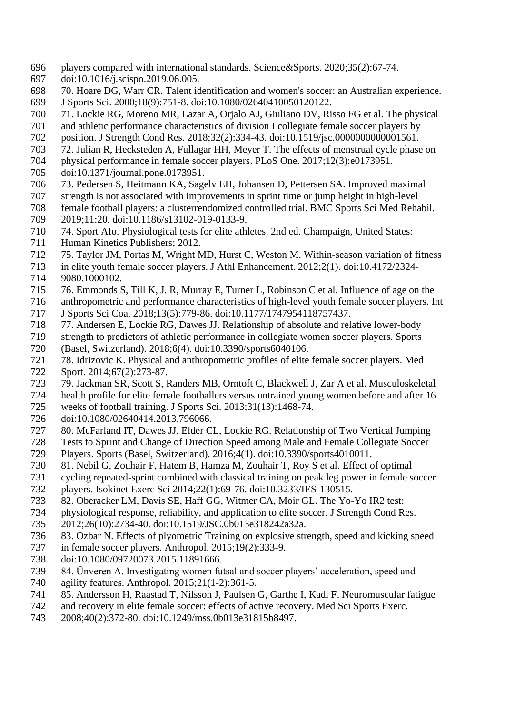- players compared with international standards. Science&Sports. 2020;35(2):67-74.
- doi:10.1016/j.scispo.2019.06.005.
- 70. Hoare DG, Warr CR. Talent identification and women's soccer: an Australian experience. J Sports Sci. 2000;18(9):751-8. doi:10.1080/02640410050120122.
- 71. Lockie RG, Moreno MR, Lazar A, Orjalo AJ, Giuliano DV, Risso FG et al. The physical
- and athletic performance characteristics of division I collegiate female soccer players by
- position. J Strength Cond Res. 2018;32(2):334-43. doi:10.1519/jsc.0000000000001561.
- 72. Julian R, Hecksteden A, Fullagar HH, Meyer T. The effects of menstrual cycle phase on
- physical performance in female soccer players. PLoS One. 2017;12(3):e0173951.
- doi:10.1371/journal.pone.0173951.
- 73. Pedersen S, Heitmann KA, Sagelv EH, Johansen D, Pettersen SA. Improved maximal
- strength is not associated with improvements in sprint time or jump height in high-level
- female football players: a clusterrendomized controlled trial. BMC Sports Sci Med Rehabil.
- 2019;11:20. doi:10.1186/s13102-019-0133-9.
- 74. Sport AIo. Physiological tests for elite athletes. 2nd ed. Champaign, United States:
- Human Kinetics Publishers; 2012.
- 75. Taylor JM, Portas M, Wright MD, Hurst C, Weston M. Within-season variation of fitness
- in elite youth female soccer players. J Athl Enhancement. 2012;2(1). doi:10.4172/2324-
- 9080.1000102.
- 76. Emmonds S, Till K, J. R, Murray E, Turner L, Robinson C et al. Influence of age on the
- anthropometric and performance characteristics of high-level youth female soccer players. Int J Sports Sci Coa. 2018;13(5):779-86. doi:10.1177/1747954118757437.
- 77. Andersen E, Lockie RG, Dawes JJ. Relationship of absolute and relative lower-body
- strength to predictors of athletic performance in collegiate women soccer players. Sports
- (Basel, Switzerland). 2018;6(4). doi:10.3390/sports6040106.
- 78. Idrizovic K. Physical and anthropometric profiles of elite female soccer players. Med
- 722 Sport. 2014;67(2):273-87.
- 79. Jackman SR, Scott S, Randers MB, Orntoft C, Blackwell J, Zar A et al. Musculoskeletal
- health profile for elite female footballers versus untrained young women before and after 16
- weeks of football training. J Sports Sci. 2013;31(13):1468-74.
- doi:10.1080/02640414.2013.796066.
- 80. McFarland IT, Dawes JJ, Elder CL, Lockie RG. Relationship of Two Vertical Jumping
- Tests to Sprint and Change of Direction Speed among Male and Female Collegiate Soccer
- Players. Sports (Basel, Switzerland). 2016;4(1). doi:10.3390/sports4010011.
- 81. Nebil G, Zouhair F, Hatem B, Hamza M, Zouhair T, Roy S et al. Effect of optimal
- cycling repeated-sprint combined with classical training on peak leg power in female soccer
- players. Isokinet Exerc Sci 2014;22(1):69-76. doi:10.3233/IES-130515.
- 82. Oberacker LM, Davis SE, Haff GG, Witmer CA, Moir GL. The Yo-Yo IR2 test:
- physiological response, reliability, and application to elite soccer. J Strength Cond Res.
- 2012;26(10):2734-40. doi:10.1519/JSC.0b013e318242a32a.
- 83. Ozbar N. Effects of plyometric Training on explosive strength, speed and kicking speed
- in female soccer players. Anthropol. 2015;19(2):333-9.
- doi:10.1080/09720073.2015.11891666.
- 84. Ünveren A. Investigating women futsal and soccer players' acceleration, speed and
- agility features. Anthropol. 2015;21(1-2):361-5.
- 85. Andersson H, Raastad T, Nilsson J, Paulsen G, Garthe I, Kadi F. Neuromuscular fatigue
- and recovery in elite female soccer: effects of active recovery. Med Sci Sports Exerc.
- 2008;40(2):372-80. doi:10.1249/mss.0b013e31815b8497.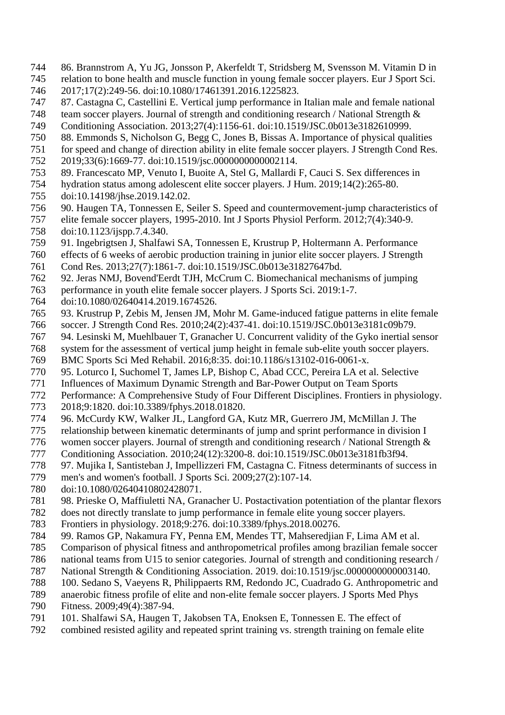- 86. Brannstrom A, Yu JG, Jonsson P, Akerfeldt T, Stridsberg M, Svensson M. Vitamin D in
- relation to bone health and muscle function in young female soccer players. Eur J Sport Sci.
- 2017;17(2):249-56. doi:10.1080/17461391.2016.1225823.
- 87. Castagna C, Castellini E. Vertical jump performance in Italian male and female national

748 team soccer players. Journal of strength and conditioning research / National Strength &

- Conditioning Association. 2013;27(4):1156-61. doi:10.1519/JSC.0b013e3182610999.
- 88. Emmonds S, Nicholson G, Begg C, Jones B, Bissas A. Importance of physical qualities
- for speed and change of direction ability in elite female soccer players. J Strength Cond Res. 2019;33(6):1669-77. doi:10.1519/jsc.0000000000002114.
- 89. Francescato MP, Venuto I, Buoite A, Stel G, Mallardi F, Cauci S. Sex differences in
- hydration status among adolescent elite soccer players. J Hum. 2019;14(2):265-80.
- doi:10.14198/jhse.2019.142.02.
- 90. Haugen TA, Tonnessen E, Seiler S. Speed and countermovement-jump characteristics of
- elite female soccer players, 1995-2010. Int J Sports Physiol Perform. 2012;7(4):340-9. doi:10.1123/ijspp.7.4.340.
- 91. Ingebrigtsen J, Shalfawi SA, Tonnessen E, Krustrup P, Holtermann A. Performance
- effects of 6 weeks of aerobic production training in junior elite soccer players. J Strength Cond Res. 2013;27(7):1861-7. doi:10.1519/JSC.0b013e31827647bd.
- 92. Jeras NMJ, Bovend'Eerdt TJH, McCrum C. Biomechanical mechanisms of jumping
- performance in youth elite female soccer players. J Sports Sci. 2019:1-7.
- doi:10.1080/02640414.2019.1674526.
- 93. Krustrup P, Zebis M, Jensen JM, Mohr M. Game-induced fatigue patterns in elite female
- soccer. J Strength Cond Res. 2010;24(2):437-41. doi:10.1519/JSC.0b013e3181c09b79.
- 94. Lesinski M, Muehlbauer T, Granacher U. Concurrent validity of the Gyko inertial sensor
- system for the assessment of vertical jump height in female sub-elite youth soccer players.
- BMC Sports Sci Med Rehabil. 2016;8:35. doi:10.1186/s13102-016-0061-x.
- 95. Loturco I, Suchomel T, James LP, Bishop C, Abad CCC, Pereira LA et al. Selective
- Influences of Maximum Dynamic Strength and Bar-Power Output on Team Sports
- Performance: A Comprehensive Study of Four Different Disciplines. Frontiers in physiology.
- 2018;9:1820. doi:10.3389/fphys.2018.01820.
- 96. McCurdy KW, Walker JL, Langford GA, Kutz MR, Guerrero JM, McMillan J. The
- relationship between kinematic determinants of jump and sprint performance in division I
- women soccer players. Journal of strength and conditioning research / National Strength &
- Conditioning Association. 2010;24(12):3200-8. doi:10.1519/JSC.0b013e3181fb3f94.
- 97. Mujika I, Santisteban J, Impellizzeri FM, Castagna C. Fitness determinants of success in
- men's and women's football. J Sports Sci. 2009;27(2):107-14.
- doi:10.1080/02640410802428071.
- 98. Prieske O, Maffiuletti NA, Granacher U. Postactivation potentiation of the plantar flexors
- does not directly translate to jump performance in female elite young soccer players.
- Frontiers in physiology. 2018;9:276. doi:10.3389/fphys.2018.00276.
- 99. Ramos GP, Nakamura FY, Penna EM, Mendes TT, Mahseredjian F, Lima AM et al.
- Comparison of physical fitness and anthropometrical profiles among brazilian female soccer
- national teams from U15 to senior categories. Journal of strength and conditioning research /
- National Strength & Conditioning Association. 2019. doi:10.1519/jsc.0000000000003140.
- 100. Sedano S, Vaeyens R, Philippaerts RM, Redondo JC, Cuadrado G. Anthropometric and
- anaerobic fitness profile of elite and non-elite female soccer players. J Sports Med Phys
- Fitness. 2009;49(4):387-94.
- 101. Shalfawi SA, Haugen T, Jakobsen TA, Enoksen E, Tonnessen E. The effect of
- combined resisted agility and repeated sprint training vs. strength training on female elite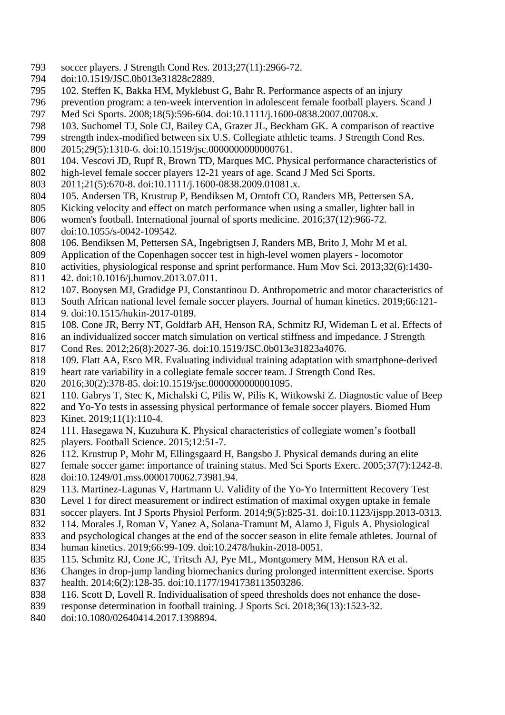- soccer players. J Strength Cond Res. 2013;27(11):2966-72.
- doi:10.1519/JSC.0b013e31828c2889.
- 102. Steffen K, Bakka HM, Myklebust G, Bahr R. Performance aspects of an injury
- prevention program: a ten-week intervention in adolescent female football players. Scand J Med Sci Sports. 2008;18(5):596-604. doi:10.1111/j.1600-0838.2007.00708.x.
- 103. Suchomel TJ, Sole CJ, Bailey CA, Grazer JL, Beckham GK. A comparison of reactive
- strength index-modified between six U.S. Collegiate athletic teams. J Strength Cond Res.
- 2015;29(5):1310-6. doi:10.1519/jsc.0000000000000761.
- 801 104. Vescovi JD, Rupf R, Brown TD, Marques MC. Physical performance characteristics of
- high-level female soccer players 12-21 years of age. Scand J Med Sci Sports.
- 2011;21(5):670-8. doi:10.1111/j.1600-0838.2009.01081.x.
- 105. Andersen TB, Krustrup P, Bendiksen M, Orntoft CO, Randers MB, Pettersen SA.
- Kicking velocity and effect on match performance when using a smaller, lighter ball in
- women's football. International journal of sports medicine. 2016;37(12):966-72.
- doi:10.1055/s-0042-109542.
- 106. Bendiksen M, Pettersen SA, Ingebrigtsen J, Randers MB, Brito J, Mohr M et al.
- Application of the Copenhagen soccer test in high-level women players locomotor
- activities, physiological response and sprint performance. Hum Mov Sci. 2013;32(6):1430-
- 42. doi:10.1016/j.humov.2013.07.011.
- 107. Booysen MJ, Gradidge PJ, Constantinou D. Anthropometric and motor characteristics of
- South African national level female soccer players. Journal of human kinetics. 2019;66:121-
- 9. doi:10.1515/hukin-2017-0189.
- 108. Cone JR, Berry NT, Goldfarb AH, Henson RA, Schmitz RJ, Wideman L et al. Effects of
- an individualized soccer match simulation on vertical stiffness and impedance. J Strength Cond Res. 2012;26(8):2027-36. doi:10.1519/JSC.0b013e31823a4076.
- 109. Flatt AA, Esco MR. Evaluating individual training adaptation with smartphone-derived
- heart rate variability in a collegiate female soccer team. J Strength Cond Res.
- 2016;30(2):378-85. doi:10.1519/jsc.0000000000001095.
- 110. Gabrys T, Stec K, Michalski C, Pilis W, Pilis K, Witkowski Z. Diagnostic value of Beep
- and Yo-Yo tests in assessing physical performance of female soccer players. Biomed Hum
- Kinet. 2019;11(1):110-4.
- 111. Hasegawa N, Kuzuhura K. Physical characteristics of collegiate women's football
- players. Football Science. 2015;12:51-7.
- 112. Krustrup P, Mohr M, Ellingsgaard H, Bangsbo J. Physical demands during an elite
- female soccer game: importance of training status. Med Sci Sports Exerc. 2005;37(7):1242-8. doi:10.1249/01.mss.0000170062.73981.94.
- 113. Martinez-Lagunas V, Hartmann U. Validity of the Yo-Yo Intermittent Recovery Test
- Level 1 for direct measurement or indirect estimation of maximal oxygen uptake in female
- soccer players. Int J Sports Physiol Perform. 2014;9(5):825-31. doi:10.1123/ijspp.2013-0313.
- 114. Morales J, Roman V, Yanez A, Solana-Tramunt M, Alamo J, Figuls A. Physiological
- and psychological changes at the end of the soccer season in elite female athletes. Journal of
- human kinetics. 2019;66:99-109. doi:10.2478/hukin-2018-0051.
- 115. Schmitz RJ, Cone JC, Tritsch AJ, Pye ML, Montgomery MM, Henson RA et al.
- Changes in drop-jump landing biomechanics during prolonged intermittent exercise. Sports
- health. 2014;6(2):128-35. doi:10.1177/1941738113503286.
- 116. Scott D, Lovell R. Individualisation of speed thresholds does not enhance the dose-
- response determination in football training. J Sports Sci. 2018;36(13):1523-32.
- doi:10.1080/02640414.2017.1398894.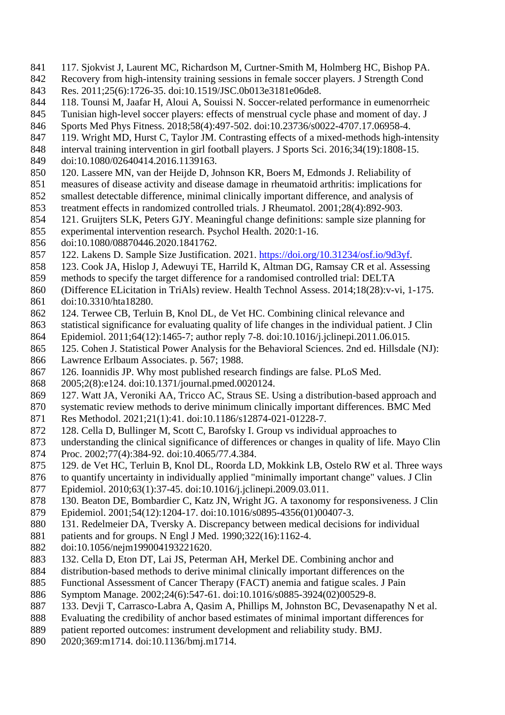- 117. Sjokvist J, Laurent MC, Richardson M, Curtner-Smith M, Holmberg HC, Bishop PA.
- Recovery from high-intensity training sessions in female soccer players. J Strength Cond
- Res. 2011;25(6):1726-35. doi:10.1519/JSC.0b013e3181e06de8.
- 118. Tounsi M, Jaafar H, Aloui A, Souissi N. Soccer-related performance in eumenorrheic
- Tunisian high-level soccer players: effects of menstrual cycle phase and moment of day. J
- Sports Med Phys Fitness. 2018;58(4):497-502. doi:10.23736/s0022-4707.17.06958-4.
- 119. Wright MD, Hurst C, Taylor JM. Contrasting effects of a mixed-methods high-intensity
- interval training intervention in girl football players. J Sports Sci. 2016;34(19):1808-15. doi:10.1080/02640414.2016.1139163.
- 120. Lassere MN, van der Heijde D, Johnson KR, Boers M, Edmonds J. Reliability of
- measures of disease activity and disease damage in rheumatoid arthritis: implications for
- smallest detectable difference, minimal clinically important difference, and analysis of
- treatment effects in randomized controlled trials. J Rheumatol. 2001;28(4):892-903.
- 121. Gruijters SLK, Peters GJY. Meaningful change definitions: sample size planning for
- experimental intervention research. Psychol Health. 2020:1-16.
- doi:10.1080/08870446.2020.1841762.
- 122. Lakens D. Sample Size Justification. 2021. [https://doi.org/10.31234/osf.io/9d3yf.](https://doi.org/10.31234/osf.io/9d3yf)
- 123. Cook JA, Hislop J, Adewuyi TE, Harrild K, Altman DG, Ramsay CR et al. Assessing
- methods to specify the target difference for a randomised controlled trial: DELTA
- (Difference ELicitation in TriAls) review. Health Technol Assess. 2014;18(28):v-vi, 1-175.
- doi:10.3310/hta18280.
- 124. Terwee CB, Terluin B, Knol DL, de Vet HC. Combining clinical relevance and
- statistical significance for evaluating quality of life changes in the individual patient. J Clin
- Epidemiol. 2011;64(12):1465-7; author reply 7-8. doi:10.1016/j.jclinepi.2011.06.015.
- 125. Cohen J. Statistical Power Analysis for the Behavioral Sciences. 2nd ed. Hillsdale (NJ):
- Lawrence Erlbaum Associates. p. 567; 1988.
- 126. Ioannidis JP. Why most published research findings are false. PLoS Med.
- 2005;2(8):e124. doi:10.1371/journal.pmed.0020124.
- 127. Watt JA, Veroniki AA, Tricco AC, Straus SE. Using a distribution-based approach and
- systematic review methods to derive minimum clinically important differences. BMC Med
- Res Methodol. 2021;21(1):41. doi:10.1186/s12874-021-01228-7.
- 128. Cella D, Bullinger M, Scott C, Barofsky I. Group vs individual approaches to
- understanding the clinical significance of differences or changes in quality of life. Mayo Clin Proc. 2002;77(4):384-92. doi:10.4065/77.4.384.
- 129. de Vet HC, Terluin B, Knol DL, Roorda LD, Mokkink LB, Ostelo RW et al. Three ways
- to quantify uncertainty in individually applied "minimally important change" values. J Clin
- Epidemiol. 2010;63(1):37-45. doi:10.1016/j.jclinepi.2009.03.011.
- 130. Beaton DE, Bombardier C, Katz JN, Wright JG. A taxonomy for responsiveness. J Clin
- Epidemiol. 2001;54(12):1204-17. doi:10.1016/s0895-4356(01)00407-3.
- 131. Redelmeier DA, Tversky A. Discrepancy between medical decisions for individual
- patients and for groups. N Engl J Med. 1990;322(16):1162-4.
- doi:10.1056/nejm199004193221620.
- 132. Cella D, Eton DT, Lai JS, Peterman AH, Merkel DE. Combining anchor and
- distribution-based methods to derive minimal clinically important differences on the
- Functional Assessment of Cancer Therapy (FACT) anemia and fatigue scales. J Pain
- Symptom Manage. 2002;24(6):547-61. doi:10.1016/s0885-3924(02)00529-8.
- 133. Devji T, Carrasco-Labra A, Qasim A, Phillips M, Johnston BC, Devasenapathy N et al.
- Evaluating the credibility of anchor based estimates of minimal important differences for
- patient reported outcomes: instrument development and reliability study. BMJ.
- 2020;369:m1714. doi:10.1136/bmj.m1714.